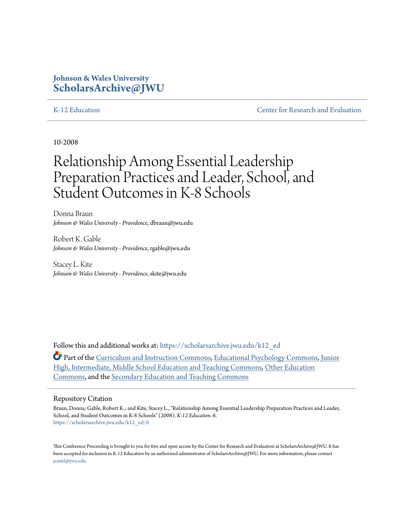### **Johnson & Wales University [ScholarsArchive@JWU](https://scholarsarchive.jwu.edu?utm_source=scholarsarchive.jwu.edu%2Fk12_ed%2F6&utm_medium=PDF&utm_campaign=PDFCoverPages)**

[K-12 Education](https://scholarsarchive.jwu.edu/k12_ed?utm_source=scholarsarchive.jwu.edu%2Fk12_ed%2F6&utm_medium=PDF&utm_campaign=PDFCoverPages) [Center for Research and Evaluation](https://scholarsarchive.jwu.edu/research?utm_source=scholarsarchive.jwu.edu%2Fk12_ed%2F6&utm_medium=PDF&utm_campaign=PDFCoverPages)

10-2008

# Relationship Among Essential Leadership Preparation Practices and Leader, School, and Student Outcomes in K-8 Schools

Donna Braun *Johnson & Wales University - Providence*, dbraun@jwu.edu

Robert K. Gable *Johnson & Wales University - Providence*, rgable@jwu.edu

Stacey L. Kite *Johnson & Wales University - Providence*, skite@jwu.edu

Follow this and additional works at: [https://scholarsarchive.jwu.edu/k12\\_ed](https://scholarsarchive.jwu.edu/k12_ed?utm_source=scholarsarchive.jwu.edu%2Fk12_ed%2F6&utm_medium=PDF&utm_campaign=PDFCoverPages)

Part of the [Curriculum and Instruction Commons](http://network.bepress.com/hgg/discipline/786?utm_source=scholarsarchive.jwu.edu%2Fk12_ed%2F6&utm_medium=PDF&utm_campaign=PDFCoverPages), [Educational Psychology Commons,](http://network.bepress.com/hgg/discipline/798?utm_source=scholarsarchive.jwu.edu%2Fk12_ed%2F6&utm_medium=PDF&utm_campaign=PDFCoverPages) [Junior](http://network.bepress.com/hgg/discipline/807?utm_source=scholarsarchive.jwu.edu%2Fk12_ed%2F6&utm_medium=PDF&utm_campaign=PDFCoverPages) [High, Intermediate, Middle School Education and Teaching Commons,](http://network.bepress.com/hgg/discipline/807?utm_source=scholarsarchive.jwu.edu%2Fk12_ed%2F6&utm_medium=PDF&utm_campaign=PDFCoverPages) [Other Education](http://network.bepress.com/hgg/discipline/811?utm_source=scholarsarchive.jwu.edu%2Fk12_ed%2F6&utm_medium=PDF&utm_campaign=PDFCoverPages) [Commons,](http://network.bepress.com/hgg/discipline/811?utm_source=scholarsarchive.jwu.edu%2Fk12_ed%2F6&utm_medium=PDF&utm_campaign=PDFCoverPages) and the [Secondary Education and Teaching Commons](http://network.bepress.com/hgg/discipline/809?utm_source=scholarsarchive.jwu.edu%2Fk12_ed%2F6&utm_medium=PDF&utm_campaign=PDFCoverPages)

#### Repository Citation

Braun, Donna; Gable, Robert K.; and Kite, Stacey L., "Relationship Among Essential Leadership Preparation Practices and Leader, School, and Student Outcomes in K-8 Schools" (2008). *K-12 Education*. 6. [https://scholarsarchive.jwu.edu/k12\\_ed/6](https://scholarsarchive.jwu.edu/k12_ed/6?utm_source=scholarsarchive.jwu.edu%2Fk12_ed%2F6&utm_medium=PDF&utm_campaign=PDFCoverPages)

This Conference Proceeding is brought to you for free and open access by the Center for Research and Evaluation at ScholarsArchive@JWU. It has been accepted for inclusion in K-12 Education by an authorized administrator of ScholarsArchive@JWU. For more information, please contact [jcastel@jwu.edu.](mailto:jcastel@jwu.edu)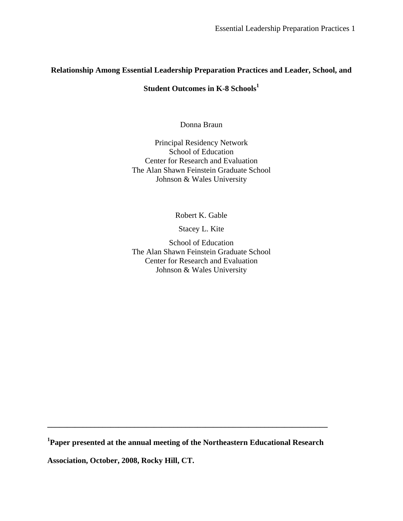### **Relationship Among Essential Leadership Preparation Practices and Leader, School, and**

### **Student Outcomes in K-8 Schools<sup>1</sup>**

Donna Braun

Principal Residency Network School of Education Center for Research and Evaluation The Alan Shawn Feinstein Graduate School Johnson & Wales University

Robert K. Gable

Stacey L. Kite

School of Education The Alan Shawn Feinstein Graduate School Center for Research and Evaluation Johnson & Wales University

**1 Paper presented at the annual meeting of the Northeastern Educational Research** 

**\_\_\_\_\_\_\_\_\_\_\_\_\_\_\_\_\_\_\_\_\_\_\_\_\_\_\_\_\_\_\_\_\_\_\_\_\_\_\_\_\_\_\_\_\_\_\_\_\_\_\_\_\_\_\_\_\_\_\_\_\_\_\_\_\_\_\_\_\_\_\_** 

**Association, October, 2008, Rocky Hill, CT.**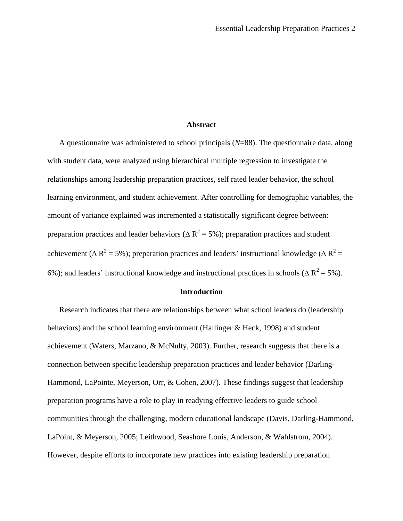#### **Abstract**

 A questionnaire was administered to school principals (*N*=88). The questionnaire data, along with student data, were analyzed using hierarchical multiple regression to investigate the relationships among leadership preparation practices, self rated leader behavior, the school learning environment, and student achievement. After controlling for demographic variables, the amount of variance explained was incremented a statistically significant degree between: preparation practices and leader behaviors ( $\Delta R^2$  = 5%); preparation practices and student achievement ( $\Delta R^2$  = 5%); preparation practices and leaders' instructional knowledge ( $\Delta R^2$  = 6%); and leaders' instructional knowledge and instructional practices in schools ( $\Delta R^2$  = 5%).

#### **Introduction**

 Research indicates that there are relationships between what school leaders do (leadership behaviors) and the school learning environment (Hallinger  $\&$  Heck, 1998) and student achievement (Waters, Marzano, & McNulty, 2003). Further, research suggests that there is a connection between specific leadership preparation practices and leader behavior (Darling-Hammond, LaPointe, Meyerson, Orr, & Cohen, 2007). These findings suggest that leadership preparation programs have a role to play in readying effective leaders to guide school communities through the challenging, modern educational landscape (Davis, Darling-Hammond, LaPoint, & Meyerson, 2005; Leithwood, Seashore Louis, Anderson, & Wahlstrom, 2004). However, despite efforts to incorporate new practices into existing leadership preparation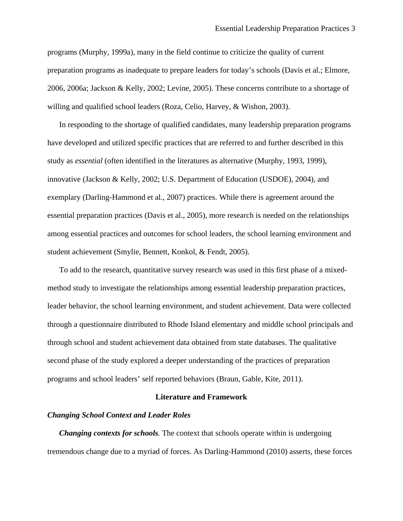programs (Murphy, 1999a), many in the field continue to criticize the quality of current preparation programs as inadequate to prepare leaders for today's schools (Davis et al.; Elmore, 2006, 2006a; Jackson & Kelly, 2002; Levine, 2005). These concerns contribute to a shortage of willing and qualified school leaders (Roza, Celio, Harvey, & Wishon, 2003).

 In responding to the shortage of qualified candidates, many leadership preparation programs have developed and utilized specific practices that are referred to and further described in this study as *essential* (often identified in the literatures as alternative (Murphy, 1993, 1999), innovative (Jackson & Kelly, 2002; U.S. Department of Education (USDOE), 2004), and exemplary (Darling-Hammond et al., 2007) practices. While there is agreement around the essential preparation practices (Davis et al., 2005), more research is needed on the relationships among essential practices and outcomes for school leaders, the school learning environment and student achievement (Smylie, Bennett, Konkol, & Fendt, 2005).

 To add to the research, quantitative survey research was used in this first phase of a mixedmethod study to investigate the relationships among essential leadership preparation practices, leader behavior, the school learning environment, and student achievement. Data were collected through a questionnaire distributed to Rhode Island elementary and middle school principals and through school and student achievement data obtained from state databases. The qualitative second phase of the study explored a deeper understanding of the practices of preparation programs and school leaders' self reported behaviors (Braun, Gable, Kite, 2011).

#### **Literature and Framework**

#### *Changing School Context and Leader Roles*

*Changing contexts for schools.* The context that schools operate within is undergoing tremendous change due to a myriad of forces. As Darling-Hammond (2010) asserts, these forces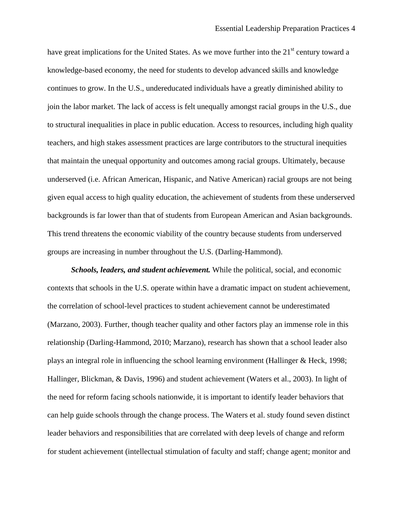have great implications for the United States. As we move further into the 21<sup>st</sup> century toward a knowledge-based economy, the need for students to develop advanced skills and knowledge continues to grow. In the U.S., undereducated individuals have a greatly diminished ability to join the labor market. The lack of access is felt unequally amongst racial groups in the U.S., due to structural inequalities in place in public education. Access to resources, including high quality teachers, and high stakes assessment practices are large contributors to the structural inequities that maintain the unequal opportunity and outcomes among racial groups. Ultimately, because underserved (i.e. African American, Hispanic, and Native American) racial groups are not being given equal access to high quality education, the achievement of students from these underserved backgrounds is far lower than that of students from European American and Asian backgrounds. This trend threatens the economic viability of the country because students from underserved groups are increasing in number throughout the U.S. (Darling-Hammond).

 *Schools, leaders, and student achievement.* While the political, social, and economic contexts that schools in the U.S. operate within have a dramatic impact on student achievement, the correlation of school-level practices to student achievement cannot be underestimated (Marzano, 2003). Further, though teacher quality and other factors play an immense role in this relationship (Darling-Hammond, 2010; Marzano), research has shown that a school leader also plays an integral role in influencing the school learning environment (Hallinger & Heck, 1998; Hallinger, Blickman, & Davis, 1996) and student achievement (Waters et al., 2003). In light of the need for reform facing schools nationwide, it is important to identify leader behaviors that can help guide schools through the change process. The Waters et al. study found seven distinct leader behaviors and responsibilities that are correlated with deep levels of change and reform for student achievement (intellectual stimulation of faculty and staff; change agent; monitor and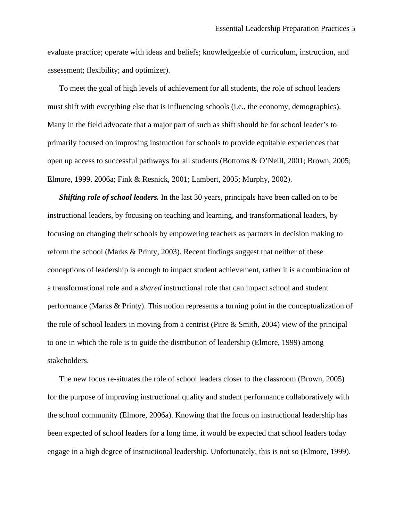evaluate practice; operate with ideas and beliefs; knowledgeable of curriculum, instruction, and assessment; flexibility; and optimizer).

 To meet the goal of high levels of achievement for all students, the role of school leaders must shift with everything else that is influencing schools (i.e., the economy, demographics). Many in the field advocate that a major part of such as shift should be for school leader's to primarily focused on improving instruction for schools to provide equitable experiences that open up access to successful pathways for all students (Bottoms & O'Neill, 2001; Brown, 2005; Elmore, 1999, 2006a; Fink & Resnick, 2001; Lambert, 2005; Murphy, 2002).

*Shifting role of school leaders.* In the last 30 years, principals have been called on to be instructional leaders, by focusing on teaching and learning, and transformational leaders, by focusing on changing their schools by empowering teachers as partners in decision making to reform the school (Marks & Printy, 2003). Recent findings suggest that neither of these conceptions of leadership is enough to impact student achievement, rather it is a combination of a transformational role and a *shared* instructional role that can impact school and student performance (Marks & Printy). This notion represents a turning point in the conceptualization of the role of school leaders in moving from a centrist (Pitre & Smith, 2004) view of the principal to one in which the role is to guide the distribution of leadership (Elmore, 1999) among stakeholders.

 The new focus re-situates the role of school leaders closer to the classroom (Brown, 2005) for the purpose of improving instructional quality and student performance collaboratively with the school community (Elmore, 2006a). Knowing that the focus on instructional leadership has been expected of school leaders for a long time, it would be expected that school leaders today engage in a high degree of instructional leadership. Unfortunately, this is not so (Elmore, 1999).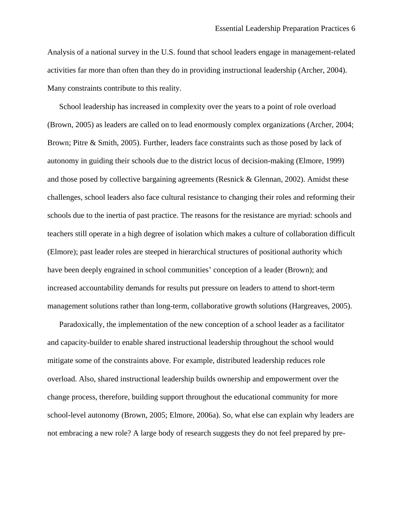Analysis of a national survey in the U.S. found that school leaders engage in management-related activities far more than often than they do in providing instructional leadership (Archer, 2004). Many constraints contribute to this reality.

 School leadership has increased in complexity over the years to a point of role overload (Brown, 2005) as leaders are called on to lead enormously complex organizations (Archer, 2004; Brown; Pitre & Smith, 2005). Further, leaders face constraints such as those posed by lack of autonomy in guiding their schools due to the district locus of decision-making (Elmore, 1999) and those posed by collective bargaining agreements (Resnick & Glennan, 2002). Amidst these challenges, school leaders also face cultural resistance to changing their roles and reforming their schools due to the inertia of past practice. The reasons for the resistance are myriad: schools and teachers still operate in a high degree of isolation which makes a culture of collaboration difficult (Elmore); past leader roles are steeped in hierarchical structures of positional authority which have been deeply engrained in school communities' conception of a leader (Brown); and increased accountability demands for results put pressure on leaders to attend to short-term management solutions rather than long-term, collaborative growth solutions (Hargreaves, 2005).

 Paradoxically, the implementation of the new conception of a school leader as a facilitator and capacity-builder to enable shared instructional leadership throughout the school would mitigate some of the constraints above. For example, distributed leadership reduces role overload. Also, shared instructional leadership builds ownership and empowerment over the change process, therefore, building support throughout the educational community for more school-level autonomy (Brown, 2005; Elmore, 2006a). So, what else can explain why leaders are not embracing a new role? A large body of research suggests they do not feel prepared by pre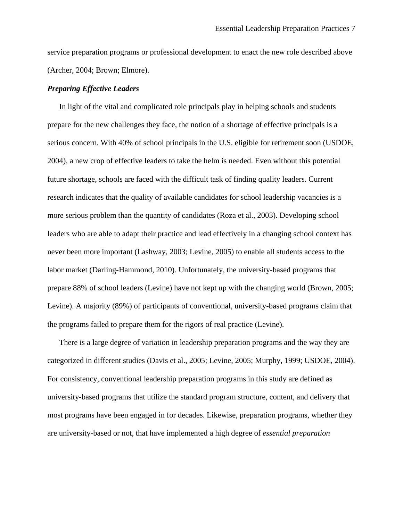service preparation programs or professional development to enact the new role described above (Archer, 2004; Brown; Elmore).

#### *Preparing Effective Leaders*

In light of the vital and complicated role principals play in helping schools and students prepare for the new challenges they face, the notion of a shortage of effective principals is a serious concern. With 40% of school principals in the U.S. eligible for retirement soon (USDOE, 2004), a new crop of effective leaders to take the helm is needed. Even without this potential future shortage, schools are faced with the difficult task of finding quality leaders. Current research indicates that the quality of available candidates for school leadership vacancies is a more serious problem than the quantity of candidates (Roza et al., 2003). Developing school leaders who are able to adapt their practice and lead effectively in a changing school context has never been more important (Lashway, 2003; Levine, 2005) to enable all students access to the labor market (Darling-Hammond, 2010). Unfortunately, the university-based programs that prepare 88% of school leaders (Levine) have not kept up with the changing world (Brown, 2005; Levine). A majority (89%) of participants of conventional, university-based programs claim that the programs failed to prepare them for the rigors of real practice (Levine).

 There is a large degree of variation in leadership preparation programs and the way they are categorized in different studies (Davis et al., 2005; Levine, 2005; Murphy, 1999; USDOE, 2004). For consistency, conventional leadership preparation programs in this study are defined as university-based programs that utilize the standard program structure, content, and delivery that most programs have been engaged in for decades. Likewise, preparation programs, whether they are university-based or not, that have implemented a high degree of *essential preparation*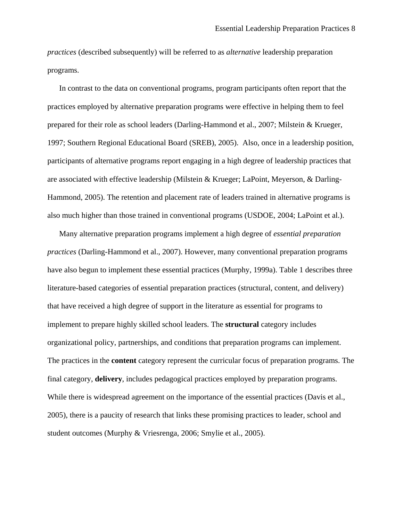*practices* (described subsequently) will be referred to as *alternative* leadership preparation programs.

 In contrast to the data on conventional programs, program participants often report that the practices employed by alternative preparation programs were effective in helping them to feel prepared for their role as school leaders (Darling-Hammond et al., 2007; Milstein & Krueger, 1997; Southern Regional Educational Board (SREB), 2005). Also, once in a leadership position, participants of alternative programs report engaging in a high degree of leadership practices that are associated with effective leadership (Milstein & Krueger; LaPoint, Meyerson, & Darling-Hammond, 2005). The retention and placement rate of leaders trained in alternative programs is also much higher than those trained in conventional programs (USDOE, 2004; LaPoint et al.).

 Many alternative preparation programs implement a high degree of *essential preparation practices* (Darling-Hammond et al., 2007). However, many conventional preparation programs have also begun to implement these essential practices (Murphy, 1999a). Table 1 describes three literature-based categories of essential preparation practices (structural, content, and delivery) that have received a high degree of support in the literature as essential for programs to implement to prepare highly skilled school leaders. The **structural** category includes organizational policy, partnerships, and conditions that preparation programs can implement. The practices in the **content** category represent the curricular focus of preparation programs. The final category, **delivery**, includes pedagogical practices employed by preparation programs. While there is widespread agreement on the importance of the essential practices (Davis et al., 2005), there is a paucity of research that links these promising practices to leader, school and student outcomes (Murphy & Vriesrenga, 2006; Smylie et al., 2005).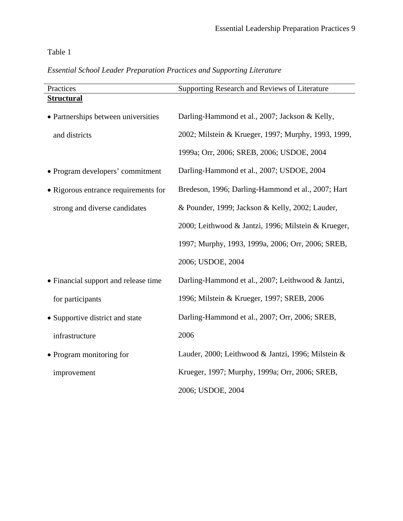### Table 1

### *Essential School Leader Preparation Practices and Supporting Literature*

| Practices                            | Supporting Research and Reviews of Literature       |
|--------------------------------------|-----------------------------------------------------|
| <b>Structural</b>                    |                                                     |
| • Partnerships between universities  | Darling-Hammond et al., 2007; Jackson & Kelly,      |
| and districts                        | 2002; Milstein & Krueger, 1997; Murphy, 1993, 1999, |
|                                      | 1999a; Orr, 2006; SREB, 2006; USDOE, 2004           |
| • Program developers' commitment     | Darling-Hammond et al., 2007; USDOE, 2004           |
| • Rigorous entrance requirements for | Bredeson, 1996; Darling-Hammond et al., 2007; Hart  |
| strong and diverse candidates        | & Pounder, 1999; Jackson & Kelly, 2002; Lauder,     |
|                                      | 2000; Leithwood & Jantzi, 1996; Milstein & Krueger, |
|                                      | 1997; Murphy, 1993, 1999a, 2006; Orr, 2006; SREB,   |
|                                      | 2006; USDOE, 2004                                   |
| • Financial support and release time | Darling-Hammond et al., 2007; Leithwood & Jantzi,   |
| for participants                     | 1996; Milstein & Krueger, 1997; SREB, 2006          |
| • Supportive district and state      | Darling-Hammond et al., 2007; Orr, 2006; SREB,      |
| infrastructure                       | 2006                                                |
| • Program monitoring for             | Lauder, 2000; Leithwood & Jantzi, 1996; Milstein &  |
| improvement                          | Krueger, 1997; Murphy, 1999a; Orr, 2006; SREB,      |
|                                      | 2006; USDOE, 2004                                   |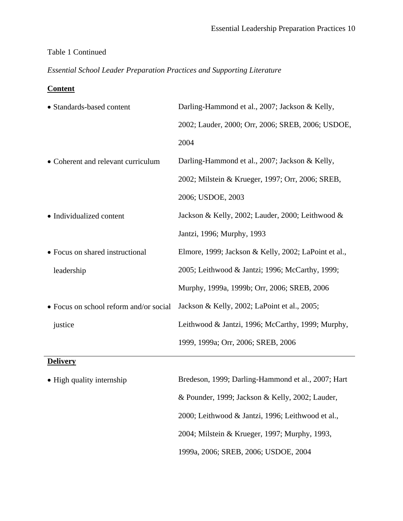### Table 1 Continued

*Essential School Leader Preparation Practices and Supporting Literature*

### **Content**

| • Standards-based content              | Darling-Hammond et al., 2007; Jackson & Kelly,       |
|----------------------------------------|------------------------------------------------------|
|                                        | 2002; Lauder, 2000; Orr, 2006; SREB, 2006; USDOE,    |
|                                        | 2004                                                 |
| • Coherent and relevant curriculum     | Darling-Hammond et al., 2007; Jackson & Kelly,       |
|                                        | 2002; Milstein & Krueger, 1997; Orr, 2006; SREB,     |
|                                        | 2006; USDOE, 2003                                    |
| • Individualized content               | Jackson & Kelly, 2002; Lauder, 2000; Leithwood &     |
|                                        | Jantzi, 1996; Murphy, 1993                           |
| • Focus on shared instructional        | Elmore, 1999; Jackson & Kelly, 2002; LaPoint et al., |
| leadership                             | 2005; Leithwood & Jantzi; 1996; McCarthy, 1999;      |
|                                        | Murphy, 1999a, 1999b; Orr, 2006; SREB, 2006          |
| • Focus on school reform and/or social | Jackson & Kelly, 2002; LaPoint et al., 2005;         |
| justice                                | Leithwood & Jantzi, 1996; McCarthy, 1999; Murphy,    |
|                                        | 1999, 1999a; Orr, 2006; SREB, 2006                   |
| <b>Delivery</b>                        |                                                      |
| • High quality internship              | Bredeson, 1999; Darling-Hammond et al., 2007; Hart   |

& Pounder, 1999; Jackson & Kelly, 2002; Lauder, 2000; Leithwood & Jantzi, 1996; Leithwood et al., 2004; Milstein & Krueger, 1997; Murphy, 1993, 1999a, 2006; SREB, 2006; USDOE, 2004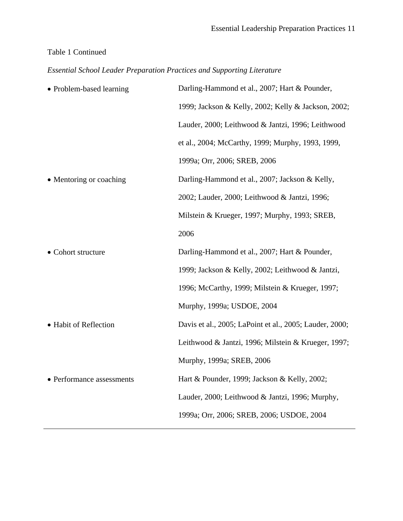### Table 1 Continued

*Essential School Leader Preparation Practices and Supporting Literature*

| Darling-Hammond et al., 2007; Hart & Pounder,           |
|---------------------------------------------------------|
| 1999; Jackson & Kelly, 2002; Kelly & Jackson, 2002;     |
| Lauder, 2000; Leithwood & Jantzi, 1996; Leithwood       |
| et al., 2004; McCarthy, 1999; Murphy, 1993, 1999,       |
| 1999a; Orr, 2006; SREB, 2006                            |
| Darling-Hammond et al., 2007; Jackson & Kelly,          |
| 2002; Lauder, 2000; Leithwood & Jantzi, 1996;           |
| Milstein & Krueger, 1997; Murphy, 1993; SREB,           |
| 2006                                                    |
| Darling-Hammond et al., 2007; Hart & Pounder,           |
| 1999; Jackson & Kelly, 2002; Leithwood & Jantzi,        |
| 1996; McCarthy, 1999; Milstein & Krueger, 1997;         |
| Murphy, 1999a; USDOE, 2004                              |
| Davis et al., 2005; LaPoint et al., 2005; Lauder, 2000; |
| Leithwood & Jantzi, 1996; Milstein & Krueger, 1997;     |
| Murphy, 1999a; SREB, 2006                               |
| Hart & Pounder, 1999; Jackson & Kelly, 2002;            |
| Lauder, 2000; Leithwood & Jantzi, 1996; Murphy,         |
| 1999a; Orr, 2006; SREB, 2006; USDOE, 2004               |
|                                                         |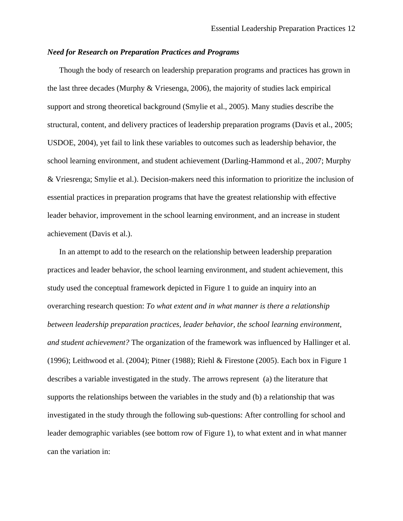#### *Need for Research on Preparation Practices and Programs*

Though the body of research on leadership preparation programs and practices has grown in the last three decades (Murphy & Vriesenga, 2006), the majority of studies lack empirical support and strong theoretical background (Smylie et al., 2005). Many studies describe the structural, content, and delivery practices of leadership preparation programs (Davis et al., 2005; USDOE, 2004), yet fail to link these variables to outcomes such as leadership behavior, the school learning environment, and student achievement (Darling-Hammond et al., 2007; Murphy & Vriesrenga; Smylie et al.). Decision-makers need this information to prioritize the inclusion of essential practices in preparation programs that have the greatest relationship with effective leader behavior, improvement in the school learning environment, and an increase in student achievement (Davis et al.).

 In an attempt to add to the research on the relationship between leadership preparation practices and leader behavior, the school learning environment, and student achievement, this study used the conceptual framework depicted in Figure 1 to guide an inquiry into an overarching research question: *To what extent and in what manner is there a relationship between leadership preparation practices, leader behavior, the school learning environment, and student achievement?* The organization of the framework was influenced by Hallinger et al. (1996); Leithwood et al. (2004); Pitner (1988); Riehl & Firestone (2005). Each box in Figure 1 describes a variable investigated in the study. The arrows represent (a) the literature that supports the relationships between the variables in the study and (b) a relationship that was investigated in the study through the following sub-questions: After controlling for school and leader demographic variables (see bottom row of Figure 1), to what extent and in what manner can the variation in: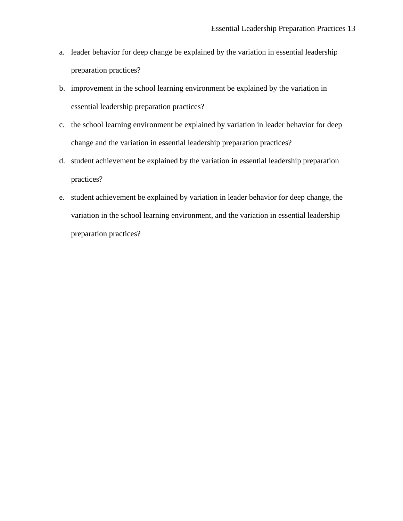- a. leader behavior for deep change be explained by the variation in essential leadership preparation practices?
- b. improvement in the school learning environment be explained by the variation in essential leadership preparation practices?
- c. the school learning environment be explained by variation in leader behavior for deep change and the variation in essential leadership preparation practices?
- d. student achievement be explained by the variation in essential leadership preparation practices?
- e. student achievement be explained by variation in leader behavior for deep change, the variation in the school learning environment, and the variation in essential leadership preparation practices?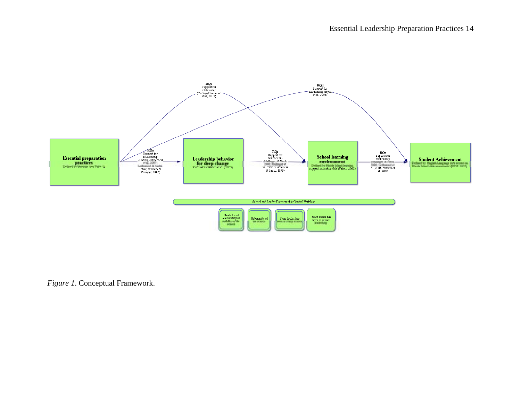

*Figure 1*. Conceptual Framework.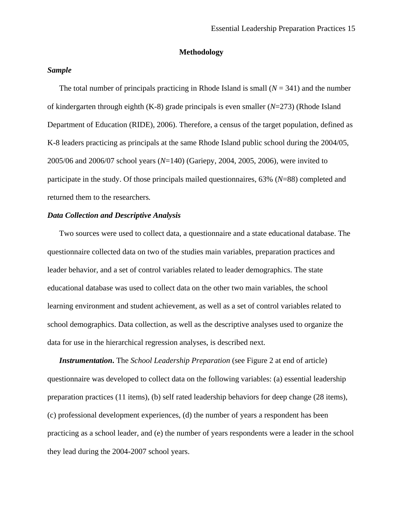#### **Methodology**

#### *Sample*

of kindergarten through eighth (K-8) gr ade principals is even smaller (*N*=273) (Rhode Island Departm ent of Education (RIDE), 2006). Therefore, a census of the target population, defined as K-8 leaders practicing as prin cipals at the same Rhode Island public school during the 2004/05, 2005/06 and 2006/07 school years ( *N*=140) (Gariepy, 2004, 2005, 2006), were invited to participate in the study. Of those prin cipals mailed questionnaires, 63% (*N*=88) completed and return ed them to the researchers*.* The total number of principals practicing in Rhode Island is small  $(N = 341)$  and the number

#### *Data Collec tion and Descriptive Analysis*

questionnaire collected data on two of the studi es main variables, preparation practices and leader behavior, and a set of control variable s related to leader demographics. The state educational database was used to collect data on the other two main variables, the school learn ing environment and student achievement, as well as a set of control variables related to school dem ographics. Data collection, as well as the descriptive analyses used to organize the data for use in the h ierarchical regression analyses, is described next. Two sources were used to collect data, a questionnaire and a state educational database. The

questionnaire was developed to collect data on th e following variables: (a) essential leadership preparation practices (11 items), (b) self rated leadership behaviors for deep change (28 items), (c) professional developm ent experiences, (d) the number of years a respondent has been practicing as a school leader, and (e) the num ber of years respondents were a leader in the school they lead during the 200 4-2007 school years. *Instrumentation***.** The *School Leadership Preparation* (see Figure 2 at end of article)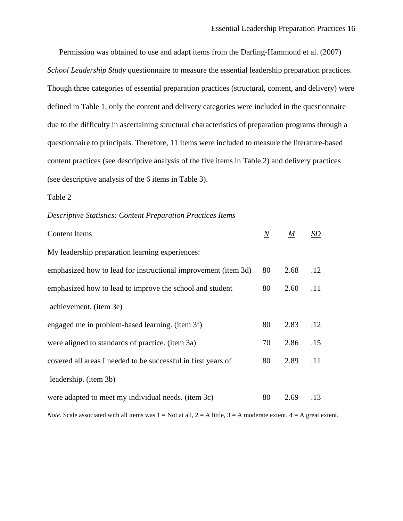Permission was obtained to use and adapt items from the Darling-Hammond et al. (2007) *School Leadership Study* questionnaire to measure the essential leadership preparation practices. Though three categories of essential preparation practices (structural, content, and delivery) were defined in Table 1, only the content and delivery categories were included in the questionnaire due to the difficulty in ascertaining structural characteristics of preparation programs through a questionnaire to principals. Therefore, 11 items were included to measure the literature-based content practices (see descriptive analysis of the five items in Table 2) and delivery practices (see descriptive analysis of the 6 items in Table 3).

Table 2

| <b>Content Items</b>                                           | $\it N$ | $\boldsymbol{M}$ | SD  |
|----------------------------------------------------------------|---------|------------------|-----|
| My leadership preparation learning experiences:                |         |                  |     |
| emphasized how to lead for instructional improvement (item 3d) | 80      | 2.68             | .12 |
| emphasized how to lead to improve the school and student       | 80      | 2.60             | .11 |
| achievement. (item 3e)                                         |         |                  |     |
| engaged me in problem-based learning. (item 3f)                | 80      | 2.83             | .12 |
| were aligned to standards of practice. (item 3a)               | 70      | 2.86             | .15 |
| covered all areas I needed to be successful in first years of  | 80      | 2.89             | .11 |
| leadership. (item 3b)                                          |         |                  |     |
| were adapted to meet my individual needs. (item 3c)            | 80      | 2.69             | .13 |

*Note.* Scale associated with all items was  $1 = Not$  at all,  $2 = A$  little,  $3 = A$  moderate extent,  $4 = A$  great extent.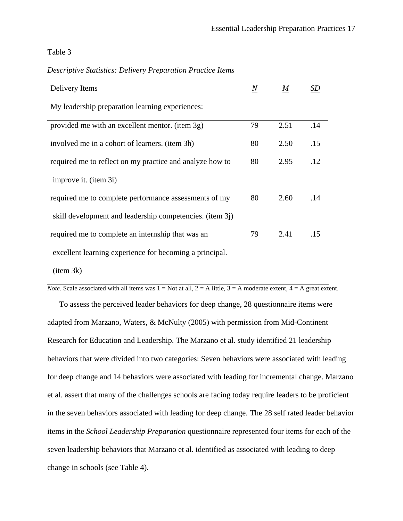Table 3

#### *Descriptive Statistics: Delivery Preparation Practice Items*

| Delivery Items                                           | $\boldsymbol{N}$ | M    | SD  |
|----------------------------------------------------------|------------------|------|-----|
| My leadership preparation learning experiences:          |                  |      |     |
| provided me with an excellent mentor. (item 3g)          | 79               | 2.51 | .14 |
| involved me in a cohort of learners. (item 3h)           | 80               | 2.50 | .15 |
| required me to reflect on my practice and analyze how to | 80               | 2.95 | .12 |
| improve it. (item 3i)                                    |                  |      |     |
| required me to complete performance assessments of my    | 80               | 2.60 | .14 |
| skill development and leadership competencies. (item 3j) |                  |      |     |
| required me to complete an internship that was an        | 79               | 2.41 | .15 |
| excellent learning experience for becoming a principal.  |                  |      |     |

(item 3k)

*Note.* Scale associated with all items was  $1 = Not$  at all,  $2 = A$  little,  $3 = A$  moderate extent,  $4 = A$  great extent.

 To assess the perceived leader behaviors for deep change, 28 questionnaire items were adapted from Marzano, Waters, & McNulty (2005) with permission from Mid-Continent Research for Education and Leadership. The Marzano et al. study identified 21 leadership behaviors that were divided into two categories: Seven behaviors were associated with leading for deep change and 14 behaviors were associated with leading for incremental change. Marzano et al. assert that many of the challenges schools are facing today require leaders to be proficient in the seven behaviors associated with leading for deep change. The 28 self rated leader behavior items in the *School Leadership Preparation* questionnaire represented four items for each of the seven leadership behaviors that Marzano et al. identified as associated with leading to deep change in schools (see Table 4).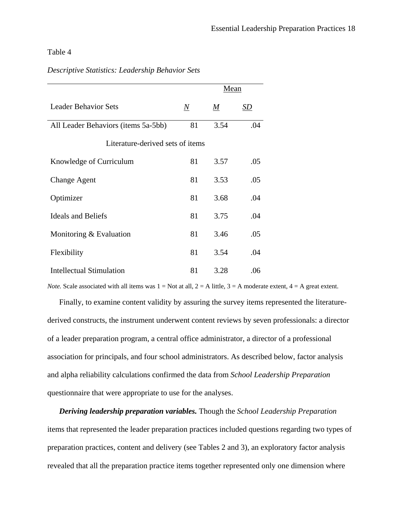### Table 4

## *Descriptive Statistics: Leadership Behavior Sets*

|                                     |                 | Mean            |           |  |
|-------------------------------------|-----------------|-----------------|-----------|--|
| <b>Leader Behavior Sets</b>         | $\underline{N}$ | $\underline{M}$ | <u>SD</u> |  |
| All Leader Behaviors (items 5a-5bb) | 81              | 3.54            | .04       |  |
| Literature-derived sets of items    |                 |                 |           |  |
| Knowledge of Curriculum             | 81              | 3.57            | .05       |  |
| <b>Change Agent</b>                 | 81              | 3.53            | .05       |  |
| Optimizer                           | 81              | 3.68            | .04       |  |
| <b>Ideals and Beliefs</b>           | 81              | 3.75            | .04       |  |
| Monitoring & Evaluation             | 81              | 3.46            | .05       |  |
| Flexibility                         | 81              | 3.54            | .04       |  |
| Intellectual Stimulation            | 81              | 3.28            | .06       |  |

*Note.* Scale associated with all items was  $1 = Not$  at all,  $2 = A$  little,  $3 = A$  moderate extent,  $4 = A$  great extent.

 Finally, to examine content validity by assuring the survey items represented the literaturederived constructs, the instrument underwent content reviews by seven professionals: a director of a leader preparation program, a central office administrator, a director of a professional association for principals, and four school administrators. As described below, factor analysis and alpha reliability calculations confirmed the data from *School Leadership Preparation*  questionnaire that were appropriate to use for the analyses.

 *Deriving leadership preparation variables.* Though the *School Leadership Preparation*  items that represented the leader preparation practices included questions regarding two types of preparation practices, content and delivery (see Tables 2 and 3), an exploratory factor analysis revealed that all the preparation practice items together represented only one dimension where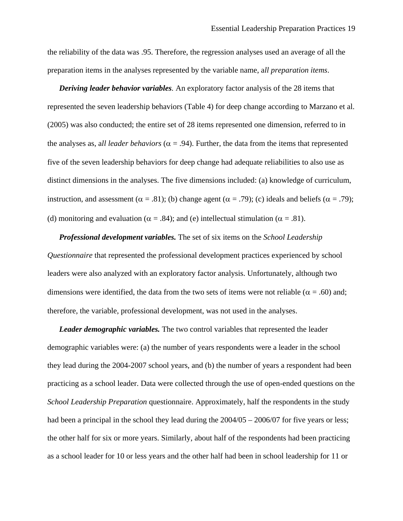the reliability of the data was .95. Therefore, the regression analyses used an average of all the preparation items in the analyses represented by the variable name, a*ll preparation items*.

*Deriving leader behavior variables.* An exploratory factor analysis of the 28 items that represented the seven leadership behaviors (Table 4) for deep change according to Marzano et al. (2005) was also conducted; the entire set of 28 items represented one dimension, referred to in the analyses as, all leader behaviors ( $\alpha$  = .94). Further, the data from the items that represented five of the seven leadership behaviors for deep change had adequate reliabilities to also use as distinct dimensions in the analyses. The five dimensions included: (a) knowledge of curriculum, instruction, and assessment ( $\alpha = .81$ ); (b) change agent ( $\alpha = .79$ ); (c) ideals and beliefs ( $\alpha = .79$ ); (d) monitoring and evaluation ( $\alpha = .84$ ); and (e) intellectual stimulation ( $\alpha = .81$ ).

*Professional development variables.* The set of six items on the *School Leadership Questionnaire* that represented the professional development practices experienced by school leaders were also analyzed with an exploratory factor analysis. Unfortunately, although two dimensions were identified, the data from the two sets of items were not reliable ( $\alpha = .60$ ) and; therefore, the variable, professional development, was not used in the analyses.

 *Leader demographic variables.* The two control variables that represented the leader demographic variables were: (a) the number of years respondents were a leader in the school they lead during the 2004-2007 school years, and (b) the number of years a respondent had been practicing as a school leader. Data were collected through the use of open-ended questions on the *School Leadership Preparation* questionnaire. Approximately, half the respondents in the study had been a principal in the school they lead during the  $2004/05 - 2006/07$  for five years or less; the other half for six or more years. Similarly, about half of the respondents had been practicing as a school leader for 10 or less years and the other half had been in school leadership for 11 or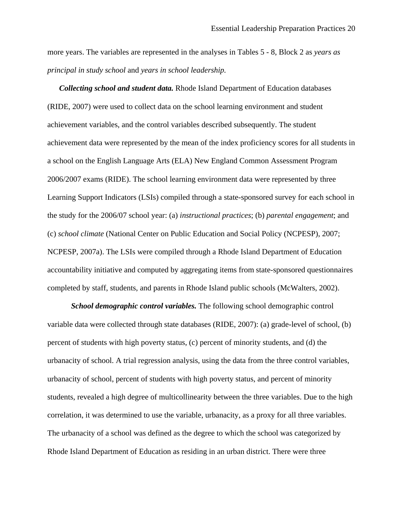more years. The variables are represented in the analyses in Tables 5 - 8, Block 2 as *years as principal in study school* and *years in school leadership.* 

 *Collecting school and student data.* Rhode Island Department of Education databases (RIDE, 2007) were used to collect data on the school learning environment and student achievement variables, and the control variables described subsequently. The student achievement data were represented by the mean of the index proficiency scores for all students in a school on the English Language Arts (ELA) New England Common Assessment Program 2006/2007 exams (RIDE). The school learning environment data were represented by three Learning Support Indicators (LSIs) compiled through a state-sponsored survey for each school in the study for the 2006/07 school year: (a) *instructional practices*; (b) *parental engagement*; and (c) *school climate* (National Center on Public Education and Social Policy (NCPESP), 2007; NCPESP, 2007a). The LSIs were compiled through a Rhode Island Department of Education accountability initiative and computed by aggregating items from state-sponsored questionnaires completed by staff, students, and parents in Rhode Island public schools (McWalters, 2002).

*School demographic control variables.* The following school demographic control variable data were collected through state databases (RIDE, 2007): (a) grade-level of school, (b) percent of students with high poverty status, (c) percent of minority students, and (d) the urbanacity of school. A trial regression analysis, using the data from the three control variables, urbanacity of school, percent of students with high poverty status, and percent of minority students, revealed a high degree of multicollinearity between the three variables. Due to the high correlation, it was determined to use the variable, urbanacity, as a proxy for all three variables. The urbanacity of a school was defined as the degree to which the school was categorized by Rhode Island Department of Education as residing in an urban district. There were three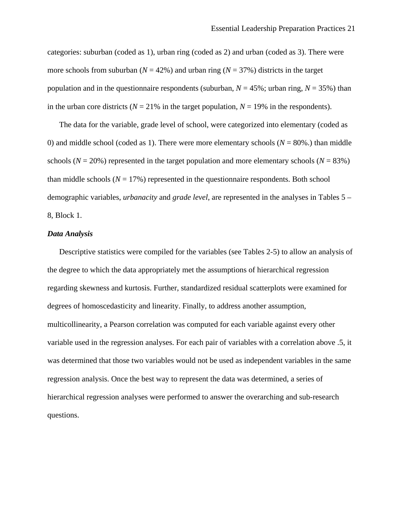categories: suburban (coded as 1), urban ring (coded as 2) and urban (coded as 3). There were more schools from suburban ( $N = 42\%$ ) and urban ring ( $N = 37\%$ ) districts in the target population and in the questionnaire respondents (suburban,  $N = 45\%$ ; urban ring,  $N = 35\%$ ) than in the urban core districts ( $N = 21\%$  in the target population,  $N = 19\%$  in the respondents).

 The data for the variable, grade level of school, were categorized into elementary (coded as 0) and middle school (coded as 1). There were more elementary schools (*N* = 80%.) than middle schools ( $N = 20\%$ ) represented in the target population and more elementary schools ( $N = 83\%$ ) than middle schools  $(N = 17\%)$  represented in the questionnaire respondents. Both school demographic variables, *urbanacity* and *grade level*, are represented in the analyses in Tables 5 – 8, Block 1.

#### *Data Analysis*

Descriptive statistics were compiled for the variables (see Tables 2-5) to allow an analysis of the degree to which the data appropriately met the assumptions of hierarchical regression regarding skewness and kurtosis. Further, standardized residual scatterplots were examined for degrees of homoscedasticity and linearity. Finally, to address another assumption, multicollinearity, a Pearson correlation was computed for each variable against every other variable used in the regression analyses. For each pair of variables with a correlation above .5, it was determined that those two variables would not be used as independent variables in the same regression analysis. Once the best way to represent the data was determined, a series of hierarchical regression analyses were performed to answer the overarching and sub-research questions.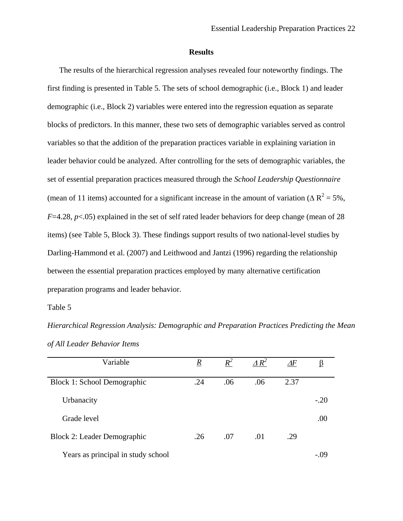#### **Results**

 The results of the hierarchical regression analyses revealed four noteworthy findings. The first finding is presented in Table 5. The sets of school demographic (i.e., Block 1) and leader demographic (i.e., Block 2) variables were entered into the regression equation as separate blocks of predictors. In this manner, these two sets of demographic variables served as control variables so that the addition of the preparation practices variable in explaining variation in leader behavior could be analyzed. After controlling for the sets of demographic variables, the set of essential preparation practices measured through the *School Leadership Questionnaire* (mean of 11 items) accounted for a significant increase in the amount of variation ( $\Delta R^2 = 5\%$ , *F*=4.28, *p*<.05) explained in the set of self rated leader behaviors for deep change (mean of 28 items) (see Table 5, Block 3). These findings support results of two national-level studies by Darling-Hammond et al. (2007) and Leithwood and Jantzi (1996) regarding the relationship between the essential preparation practices employed by many alternative certification preparation programs and leader behavior.

Table 5

*Hierarchical Regression Analysis: Demographic and Preparation Practices Predicting the Mean of All Leader Behavior Items* 

| Variable                           | $\underline{R}$ | $R^2$ | $\triangle R^2$ | $\varDelta F$ | β      |
|------------------------------------|-----------------|-------|-----------------|---------------|--------|
| Block 1: School Demographic        | .24             | .06   | .06             | 2.37          |        |
| Urbanacity                         |                 |       |                 |               | $-.20$ |
| Grade level                        |                 |       |                 |               | .00    |
| Block 2: Leader Demographic        | .26             | .07   | .01             | .29           |        |
| Years as principal in study school |                 |       |                 |               |        |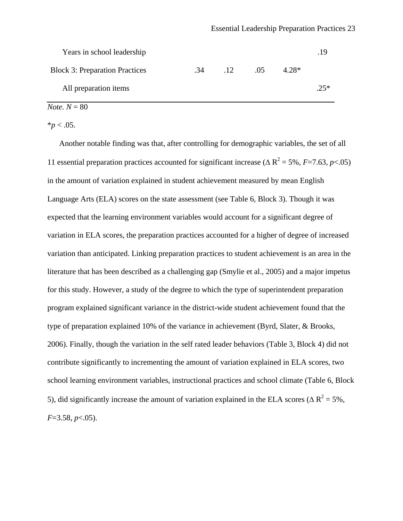| Years in school leadership            |     |                 |     |         | 19    |
|---------------------------------------|-----|-----------------|-----|---------|-------|
| <b>Block 3: Preparation Practices</b> | .34 | $\overline{12}$ | .05 | $4.28*$ |       |
| All preparation items                 |     |                 |     |         | $25*$ |

### $$

 $*_{p}$  < .05.

 Another notable finding was that, after controlling for demographic variables, the set of all 11 essential preparation practices accounted for significant increase ( $\Delta R^2$  = 5%, *F*=7.63, *p*<.05) in the amount of variation explained in student achievement measured by mean English Language Arts (ELA) scores on the state assessment (see Table 6, Block 3). Though it was expected that the learning environment variables would account for a significant degree of variation in ELA scores, the preparation practices accounted for a higher of degree of increased variation than anticipated. Linking preparation practices to student achievement is an area in the literature that has been described as a challenging gap (Smylie et al., 2005) and a major impetus for this study. However, a study of the degree to which the type of superintendent preparation program explained significant variance in the district-wide student achievement found that the type of preparation explained 10% of the variance in achievement (Byrd, Slater, & Brooks, 2006). Finally, though the variation in the self rated leader behaviors (Table 3, Block 4) did not contribute significantly to incrementing the amount of variation explained in ELA scores, two school learning environment variables, instructional practices and school climate (Table 6, Block 5), did significantly increase the amount of variation explained in the ELA scores ( $\Delta R^2$  = 5%, *F*=3.58, *p*<.05).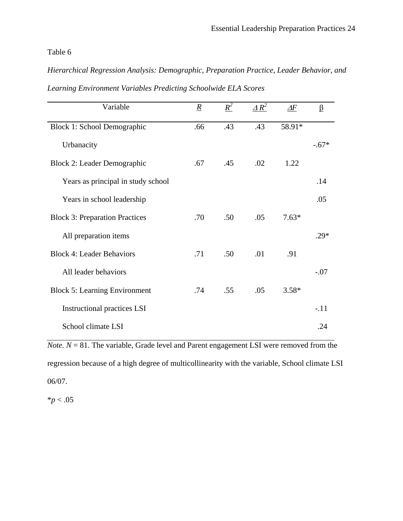### Table 6

*Hierarchical Regression Analysis: Demographic, Preparation Practice, Leader Behavior, and Learning Environment Variables Predicting Schoolwide ELA Scores* 

| Variable                              | $\underline{R}$ | $R^2$ | $\triangle R^2$ | $\varDelta F$ | $\beta$ |
|---------------------------------------|-----------------|-------|-----------------|---------------|---------|
| Block 1: School Demographic           | .66             | .43   | .43             | 58.91*        |         |
| Urbanacity                            |                 |       |                 |               | $-.67*$ |
| Block 2: Leader Demographic           | .67             | .45   | .02             | 1.22          |         |
| Years as principal in study school    |                 |       |                 |               | .14     |
| Years in school leadership            |                 |       |                 |               | .05     |
| <b>Block 3: Preparation Practices</b> | .70             | .50   | .05             | $7.63*$       |         |
| All preparation items                 |                 |       |                 |               | $.29*$  |
| <b>Block 4: Leader Behaviors</b>      | .71             | .50   | .01             | .91           |         |
| All leader behaviors                  |                 |       |                 |               | $-.07$  |
| <b>Block 5: Learning Environment</b>  | .74             | .55   | .05             | $3.58*$       |         |
| <b>Instructional practices LSI</b>    |                 |       |                 |               | $-.11$  |
| School climate LSI                    |                 |       |                 |               | .24     |

*Note.*  $N = 81$ . The variable, Grade level and Parent engagement LSI were removed from the regression because of a high degree of multicollinearity with the variable, School climate LSI 06/07.

 $*_{p}$  < .05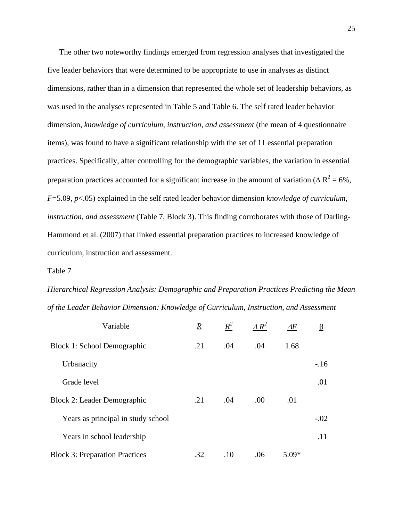The other two noteworthy findings emerged from regression analyses that investigated the five leader behaviors that were determined to be appropriate to use in analyses as distinct dimensions, rather than in a dimension that represented the whole set of leadership behaviors, as was used in the analyses represented in Table 5 and Table 6. The self rated leader behavior dimension, *knowledge of curriculum, instruction, and assessment* (the mean of 4 questionnaire items), was found to have a significant relationship with the set of 11 essential preparation practices. Specifically, after controlling for the demographic variables, the variation in essential preparation practices accounted for a significant increase in the amount of variation ( $\Delta R^2$  = 6%, *F*=5.09, *p*<.05) explained in the self rated leader behavior dimension *knowledge of curriculum, instruction, and assessment* (Table 7, Block 3). This finding corroborates with those of Darling-Hammond et al. (2007) that linked essential preparation practices to increased knowledge of curriculum, instruction and assessment.

#### Table 7

*Hierarchical Regression Analysis: Demographic and Preparation Practices Predicting the Mean of the Leader Behavior Dimension: Knowledge of Curriculum, Instruction, and Assessment* 

| Variable                              | $\boldsymbol{R}$ | $R^2$ | $\triangle R^2$ | $\varDelta F$ | <u>ß</u> |
|---------------------------------------|------------------|-------|-----------------|---------------|----------|
| Block 1: School Demographic           | .21              | .04   | .04             | 1.68          |          |
| Urbanacity                            |                  |       |                 |               | $-.16$   |
| Grade level                           |                  |       |                 |               | .01      |
| <b>Block 2: Leader Demographic</b>    | .21              | .04   | .00             | .01           |          |
| Years as principal in study school    |                  |       |                 |               | $-.02$   |
| Years in school leadership            |                  |       |                 |               | .11      |
| <b>Block 3: Preparation Practices</b> | .32              | .10   | .06             | $5.09*$       |          |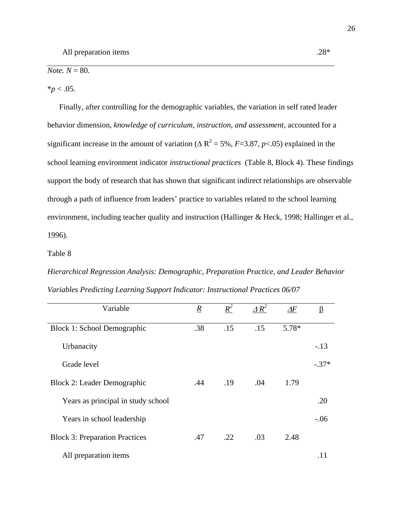$$ 

 $**p* < .05$ .

 Finally, after controlling for the demographic variables, the variation in self rated leader behavior dimension, *knowledge of curriculum, instruction, and assessment*, accounted for a significant increase in the amount of variation ( $\Delta R^2$  = 5%, *F*=3.87, *p*<.05) explained in the school learning environment indicator *instructional practices* (Table 8, Block 4). These findings support the body of research that has shown that significant indirect relationships are observable through a path of influence from leaders' practice to variables related to the school learning environment, including teacher quality and instruction (Hallinger & Heck, 1998; Hallinger et al., 1996).

Table 8

*Hierarchical Regression Analysis: Demographic, Preparation Practice, and Leader Behavior Variables Predicting Learning Support Indicator: Instructional Practices 06/07* 

| Variable                              |                 | $R^2$ | $\triangle R^2$ |               |         |
|---------------------------------------|-----------------|-------|-----------------|---------------|---------|
|                                       | $\underline{R}$ |       |                 | $\varDelta F$ | β       |
| Block 1: School Demographic           | .38             | .15   | .15             | 5.78*         |         |
| Urbanacity                            |                 |       |                 |               | $-.13$  |
| Grade level                           |                 |       |                 |               | $-.37*$ |
| Block 2: Leader Demographic           | .44             | .19   | .04             | 1.79          |         |
| Years as principal in study school    |                 |       |                 |               | .20     |
| Years in school leadership            |                 |       |                 |               | $-.06$  |
| <b>Block 3: Preparation Practices</b> | .47             | .22   | .03             | 2.48          |         |
| All preparation items                 |                 |       |                 |               |         |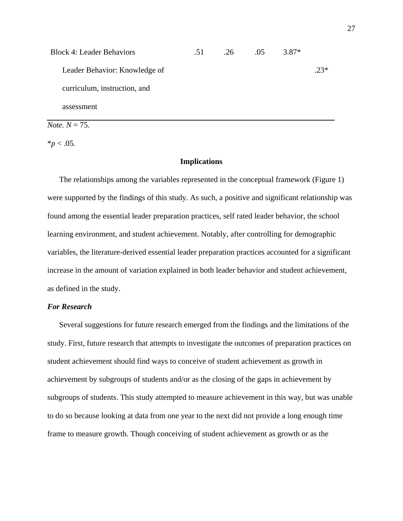| <b>Block 4: Leader Behaviors</b> | .51 | .26 | .05 | $3.87*$ |       |
|----------------------------------|-----|-----|-----|---------|-------|
| Leader Behavior: Knowledge of    |     |     |     |         | $23*$ |
| curriculum, instruction, and     |     |     |     |         |       |
| assessment                       |     |     |     |         |       |

*Note.*  $N = 75$ .

 $*$ *p* < .05.

#### **Implications**

 The relationships among the variables represented in the conceptual framework (Figure 1) were supported by the findings of this study. As such, a positive and significant relationship was found among the essential leader preparation practices, self rated leader behavior, the school learning environment, and student achievement. Notably, after controlling for demographic variables, the literature-derived essential leader preparation practices accounted for a significant increase in the amount of variation explained in both leader behavior and student achievement, as defined in the study.

#### *For Research*

Several suggestions for future research emerged from the findings and the limitations of the study. First, future research that attempts to investigate the outcomes of preparation practices on student achievement should find ways to conceive of student achievement as growth in achievement by subgroups of students and/or as the closing of the gaps in achievement by subgroups of students. This study attempted to measure achievement in this way, but was unable to do so because looking at data from one year to the next did not provide a long enough time frame to measure growth. Though conceiving of student achievement as growth or as the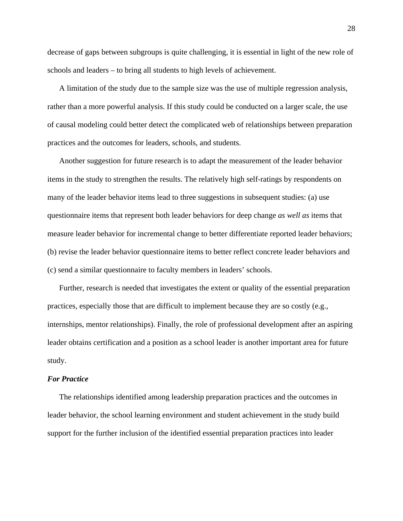decrease of gaps between subgroups is quite challenging, it is essential in light of the new role of schools and leaders – to bring all students to high levels of achievement.

 A limitation of the study due to the sample size was the use of multiple regression analysis, rather than a more powerful analysis. If this study could be conducted on a larger scale, the use of causal modeling could better detect the complicated web of relationships between preparation practices and the outcomes for leaders, schools, and students.

 Another suggestion for future research is to adapt the measurement of the leader behavior items in the study to strengthen the results. The relatively high self-ratings by respondents on many of the leader behavior items lead to three suggestions in subsequent studies: (a) use questionnaire items that represent both leader behaviors for deep change *as well as* items that measure leader behavior for incremental change to better differentiate reported leader behaviors; (b) revise the leader behavior questionnaire items to better reflect concrete leader behaviors and (c) send a similar questionnaire to faculty members in leaders' schools.

 Further, research is needed that investigates the extent or quality of the essential preparation practices, especially those that are difficult to implement because they are so costly (e.g., internships, mentor relationships). Finally, the role of professional development after an aspiring leader obtains certification and a position as a school leader is another important area for future study.

#### *For Practice*

 The relationships identified among leadership preparation practices and the outcomes in leader behavior, the school learning environment and student achievement in the study build support for the further inclusion of the identified essential preparation practices into leader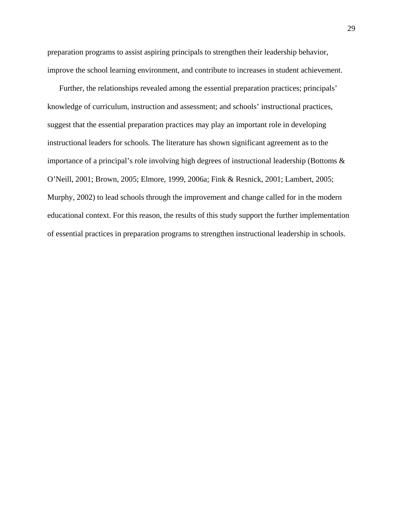preparation programs to assist aspiring principals to strengthen their leadership behavior, improve the school learning environment, and contribute to increases in student achievement.

 Further, the relationships revealed among the essential preparation practices; principals' knowledge of curriculum, instruction and assessment; and schools' instructional practices, suggest that the essential preparation practices may play an important role in developing instructional leaders for schools. The literature has shown significant agreement as to the importance of a principal's role involving high degrees of instructional leadership (Bottoms & O'Neill, 2001; Brown, 2005; Elmore, 1999, 2006a; Fink & Resnick, 2001; Lambert, 2005; Murphy, 2002) to lead schools through the improvement and change called for in the modern educational context. For this reason, the results of this study support the further implementation of essential practices in preparation programs to strengthen instructional leadership in schools.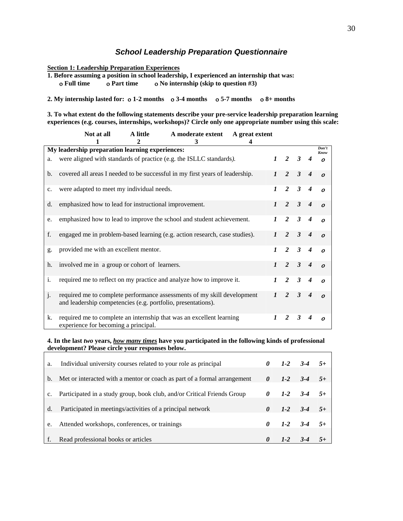#### *School Leadership Preparation Questionnaire*

**Section 1: Leadership Preparation Experiences**

**1. Before assuming a position in school leadership, I experienced an internship that was: Full time Part time No internship (skip to question #3)**

**2. My internship lasted for: 1-2 months 3-4 months 5-7 months 8+ months** 

**3. To what extent do the following statements describe your pre-service leadership preparation learning experiences (e.g. courses, internships, workshops)? Circle only one appropriate number using this scale:** 

|                | Not at all                                                   | A little       | A moderate extent                                                            | A great extent |                  |                |              |                  |                  |
|----------------|--------------------------------------------------------------|----------------|------------------------------------------------------------------------------|----------------|------------------|----------------|--------------|------------------|------------------|
|                | My leadership preparation learning experiences:              | $\mathfrak{D}$ | 3                                                                            | 4              |                  |                |              |                  | Don't            |
| a.             |                                                              |                | were aligned with standards of practice (e.g. the ISLLC standards).          |                |                  | $1\quad 2$     | $\mathbf{3}$ | $\boldsymbol{4}$ | Know<br>$\Omega$ |
| b.             |                                                              |                | covered all areas I needed to be successful in my first years of leadership. |                |                  | $\overline{2}$ | $\mathbf{3}$ | $\boldsymbol{4}$ | $\boldsymbol{O}$ |
| $C_{\bullet}$  | were adapted to meet my individual needs.                    |                |                                                                              |                | $\mathbf{I}$     | $\overline{2}$ | $\mathbf{3}$ | $\boldsymbol{4}$ | $\boldsymbol{o}$ |
| d.             | emphasized how to lead for instructional improvement.        |                |                                                                              |                | $\mathbf{I}$     | $\overline{2}$ | $\mathbf{3}$ | $\boldsymbol{4}$ | $\boldsymbol{o}$ |
| e.             |                                                              |                | emphasized how to lead to improve the school and student achievement.        |                | $\mathbf{I}$     | 2              | $\mathbf{3}$ | $\boldsymbol{4}$ | $\boldsymbol{o}$ |
| f.             |                                                              |                | engaged me in problem-based learning (e.g. action research, case studies).   |                |                  | 2              | $\mathbf{3}$ | $\boldsymbol{4}$ | $\Omega$         |
| g.             | provided me with an excellent mentor.                        |                |                                                                              |                | $\mathbf{I}$     | 2              | $\mathbf{3}$ | $\boldsymbol{4}$ | $\boldsymbol{o}$ |
| h.             | involved me in a group or cohort of learners.                |                |                                                                              |                | $\mathbf{I}$     | $\overline{2}$ | $\mathbf{3}$ | $\boldsymbol{4}$ | $\boldsymbol{o}$ |
| $\mathbf{i}$ . |                                                              |                | required me to reflect on my practice and analyze how to improve it.         |                | $\boldsymbol{l}$ | 2              | $\mathbf{3}$ | $\boldsymbol{4}$ | $\boldsymbol{0}$ |
| j.             | and leadership competencies (e.g. portfolio, presentations). |                | required me to complete performance assessments of my skill development      |                | $\mathbf{1}$     | 2              | $\mathbf{3}$ | $\boldsymbol{4}$ | $\boldsymbol{o}$ |
| k.             | experience for becoming a principal.                         |                | required me to complete an internship that was an excellent learning         |                | 1                | $\mathfrak{D}$ | $\mathbf{3}$ | 4                | $\Omega$         |

**4. In the last** *two* **years,** *how many times* **have you participated in the following kinds of professional development? Please circle your responses below.**

| a.             | Individual university courses related to your role as principal          | 0        |         | $1-2$ $3-4$ $5+$ |  |
|----------------|--------------------------------------------------------------------------|----------|---------|------------------|--|
| $\mathbf{b}$ . | Met or interacted with a mentor or coach as part of a formal arrangement | 0        | $1 - 2$ | $3-4$ $5+$       |  |
|                |                                                                          | 0        | $1 - 2$ | $3-4$            |  |
| C <sub>1</sub> | Participated in a study group, book club, and/or Critical Friends Group  |          |         |                  |  |
| d.             | Participated in meetings/activities of a principal network               |          |         | $1-2$ $3-4$ $5+$ |  |
| e.             | Attended workshops, conferences, or trainings                            | 0        |         | $1-2$ $3-4$      |  |
|                | Read professional books or articles                                      | $\theta$ |         |                  |  |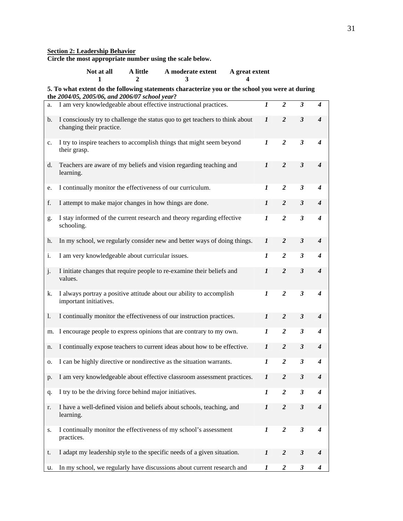#### **Section 2: Leadership Behavior**

**Circle the most appropriate number using the scale below.** 

| Not at all | A little | A moderate extent | A great extent |
|------------|----------|-------------------|----------------|
|            |          |                   |                |

#### **5. To what extent do the following statements characterize you or the school you were at during the** *2004/05, 2005/06, and 2006/07 school year***?**

| a.          | I am very knowledgeable about effective instructional practices.                                         | $\boldsymbol{l}$ | $\overline{c}$          | 3                       | 4                           |
|-------------|----------------------------------------------------------------------------------------------------------|------------------|-------------------------|-------------------------|-----------------------------|
| b.          | I consciously try to challenge the status quo to get teachers to think about<br>changing their practice. | $\boldsymbol{l}$ | $\overline{2}$          | $\overline{\mathbf{3}}$ | $\overline{\boldsymbol{4}}$ |
| $c_{\cdot}$ | I try to inspire teachers to accomplish things that might seem beyond<br>their grasp.                    | 1                | $\overline{2}$          | $\boldsymbol{\beta}$    | $\boldsymbol{4}$            |
| d.          | Teachers are aware of my beliefs and vision regarding teaching and<br>learning.                          | $\boldsymbol{l}$ | $\overline{2}$          | $\mathfrak{z}$          | $\boldsymbol{4}$            |
| e.          | I continually monitor the effectiveness of our curriculum.                                               | 1                | $\boldsymbol{2}$        | $\mathfrak{z}$          | $\boldsymbol{4}$            |
| f.          | I attempt to make major changes in how things are done.                                                  | $\boldsymbol{l}$ | $\overline{2}$          | $\mathfrak{z}$          | $\boldsymbol{4}$            |
| g.          | I stay informed of the current research and theory regarding effective<br>schooling.                     | $\boldsymbol{l}$ | $\overline{2}$          | $\mathfrak{z}$          | $\boldsymbol{4}$            |
| h.          | In my school, we regularly consider new and better ways of doing things.                                 | $\boldsymbol{l}$ | $\overline{2}$          | $\mathfrak{z}$          | $\boldsymbol{4}$            |
| i.          | I am very knowledgeable about curricular issues.                                                         | 1                | $\overline{2}$          | $\mathfrak{z}$          | $\boldsymbol{4}$            |
| j.          | I initiate changes that require people to re-examine their beliefs and<br>values.                        | $\boldsymbol{l}$ | $\overline{2}$          | $\mathfrak{z}$          | $\boldsymbol{4}$            |
| k.          | I always portray a positive attitude about our ability to accomplish<br>important initiatives.           | $\boldsymbol{l}$ | $\overline{2}$          | $\mathfrak{z}$          | $\boldsymbol{4}$            |
| 1.          | I continually monitor the effectiveness of our instruction practices.                                    | $\boldsymbol{l}$ | $\overline{2}$          | $\mathfrak{z}$          | $\boldsymbol{4}$            |
| m.          | I encourage people to express opinions that are contrary to my own.                                      | 1                | $\overline{\mathbf{2}}$ | 3                       | 4                           |
| n.          | I continually expose teachers to current ideas about how to be effective.                                | $\boldsymbol{l}$ | $\overline{2}$          | $\mathfrak{z}$          | $\boldsymbol{4}$            |
| о.          | I can be highly directive or nondirective as the situation warrants.                                     | 1                | $\overline{2}$          | $\mathfrak{z}$          | $\boldsymbol{4}$            |
| p.          | I am very knowledgeable about effective classroom assessment practices.                                  | $\boldsymbol{l}$ | $\overline{2}$          | $\mathfrak{z}$          | $\boldsymbol{4}$            |
| q.          | I try to be the driving force behind major initiatives.                                                  | $\boldsymbol{l}$ | $\overline{2}$          | $\mathfrak{z}$          | 4                           |
| r.          | I have a well-defined vision and beliefs about schools, teaching, and<br>learning.                       | $\boldsymbol{l}$ | 2                       | 3                       | 4                           |
| S.          | I continually monitor the effectiveness of my school's assessment<br>practices.                          | 1                | $\boldsymbol{2}$        | $\mathfrak{z}$          | 4                           |
| t.          | I adapt my leadership style to the specific needs of a given situation.                                  | $\boldsymbol{l}$ | $\boldsymbol{2}$        | $\boldsymbol{\beta}$    | 4                           |
| u.          | In my school, we regularly have discussions about current research and                                   | 1                | $\overline{2}$          | 3                       | 4                           |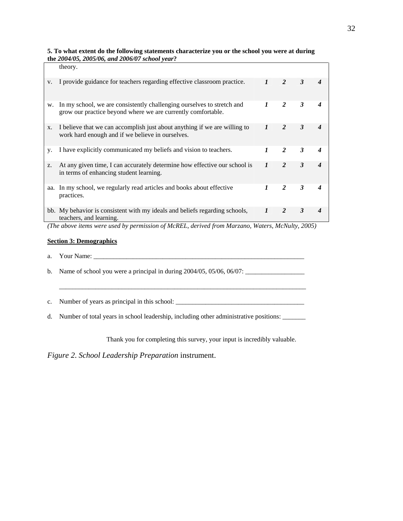| theory.                                                                                                                                |                           |                |              |                                                                                                 |
|----------------------------------------------------------------------------------------------------------------------------------------|---------------------------|----------------|--------------|-------------------------------------------------------------------------------------------------|
| I provide guidance for teachers regarding effective classroom practice.                                                                | $\mathbf{I}$              | $\mathfrak{D}$ | 3            |                                                                                                 |
| In my school, we are consistently challenging ourselves to stretch and<br>grow our practice beyond where we are currently comfortable. | $\mathbf{I}$              | $\mathfrak{D}$ | 3            |                                                                                                 |
| I believe that we can accomplish just about anything if we are willing to<br>work hard enough and if we believe in ourselves.          | $\boldsymbol{l}$          | $\mathfrak{D}$ | 3            |                                                                                                 |
| I have explicitly communicated my beliefs and vision to teachers.                                                                      | 1                         | 2              | $\mathbf{3}$ |                                                                                                 |
| At any given time, I can accurately determine how effective our school is<br>in terms of enhancing student learning.                   | $\mathbf{I}$              | 2              | 3            |                                                                                                 |
| aa. In my school, we regularly read articles and books about effective<br>practices.                                                   | $\boldsymbol{\mathit{1}}$ | 2              | $\mathbf{3}$ |                                                                                                 |
| bb. My behavior is consistent with my ideals and beliefs regarding schools,<br>teachers, and learning.                                 | $\boldsymbol{l}$          | $\mathcal{P}$  | 3            |                                                                                                 |
|                                                                                                                                        |                           |                |              | (The above items were used by permission of McREL, derived from Marzano, Waters, McNulty, 2005) |

**5. To what extent do the following statements characterize you or the school you were at during the** *2004/05, 2005/06, and 2006/07 school year***?**

#### **Section 3: Demographics**

- a. Your Name: \_\_\_\_\_\_\_\_\_\_\_\_\_\_\_\_\_\_\_\_\_\_\_\_\_\_\_\_\_\_\_\_\_\_\_\_\_\_\_\_\_\_\_\_\_\_\_\_\_\_\_\_\_\_\_\_\_\_\_\_\_\_\_\_
- b. Name of school you were a principal in during 2004/05, 05/06, 06/07: \_\_\_\_\_\_\_\_\_\_\_\_\_\_\_\_\_\_

\_\_\_\_\_\_\_\_\_\_\_\_\_\_\_\_\_\_\_\_\_\_\_\_\_\_\_\_\_\_\_\_\_\_\_\_\_\_\_\_\_\_\_\_\_\_\_\_\_\_\_\_\_\_\_\_\_\_\_\_\_\_\_\_\_\_\_\_\_\_\_\_\_\_\_

c. Number of years as principal in this school: \_\_\_\_\_\_\_\_\_\_\_\_\_\_\_\_\_\_\_\_\_\_\_\_\_\_\_\_\_\_\_\_\_\_\_\_\_\_\_

d. Number of total years in school leadership, including other administrative positions: \_\_\_\_\_\_\_

Thank you for completing this survey, your input is incredibly valuable.

*Figure 2*. *School Leadership Preparation* instrument.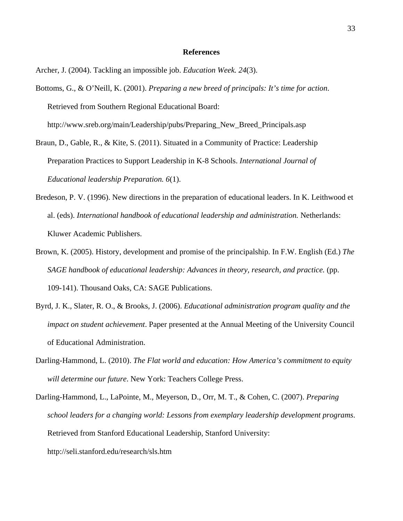#### **References**

Archer, J. (2004). Tackling an impossible job. *Education Week. 24*(3).

Bottoms, G., & O'Neill, K. (2001). *Preparing a new breed of principals: It's time for action*. Retrieved from Southern Regional Educational Board: http://www.sreb.org/main/Leadership/pubs/Preparing\_New\_Breed\_Principals.asp

Braun, D., Gable, R., & Kite, S. (2011). Situated in a Community of Practice: Leadership Preparation Practices to Support Leadership in K-8 Schools. *International Journal of Educational leadership Preparation. 6*(1).

- Bredeson, P. V. (1996). New directions in the preparation of educational leaders. In K. Leithwood et al. (eds). *International handbook of educational leadership and administration.* Netherlands: Kluwer Academic Publishers.
- Brown, K. (2005). History, development and promise of the principalship. In F.W. English (Ed.) *The SAGE handbook of educational leadership: Advances in theory, research, and practice.* (pp. 109-141). Thousand Oaks, CA: SAGE Publications.
- Byrd, J. K., Slater, R. O., & Brooks, J. (2006). *Educational administration program quality and the impact on student achievement*. Paper presented at the Annual Meeting of the University Council of Educational Administration.
- Darling-Hammond, L. (2010). *The Flat world and education: How America's commitment to equity will determine our future*. New York: Teachers College Press.
- Darling-Hammond, L., LaPointe, M., Meyerson, D., Orr, M. T., & Cohen, C. (2007). *Preparing school leaders for a changing world: Lessons from exemplary leadership development programs*. Retrieved from Stanford Educational Leadership, Stanford University: http://seli.stanford.edu/research/sls.htm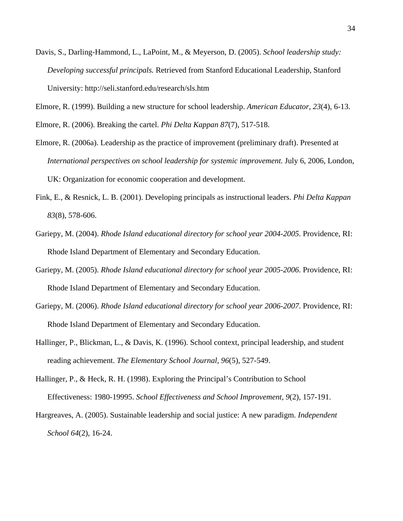Davis, S., Darling-Hammond, L., LaPoint, M., & Meyerson, D. (2005). *School leadership study: Developing successful principals.* Retrieved from Stanford Educational Leadership, Stanford University: http://seli.stanford.edu/research/sls.htm

Elmore, R. (1999). Building a new structure for school leadership. *American Educator, 23*(4), 6-13.

Elmore, R. (2006). Breaking the cartel. *Phi Delta Kappan 87*(7), 517-518.

- Elmore, R. (2006a). Leadership as the practice of improvement (preliminary draft). Presented at *International perspectives on school leadership for systemic improvement.* July 6, 2006, London, UK: Organization for economic cooperation and development.
- Fink, E., & Resnick, L. B. (2001). Developing principals as instructional leaders. *Phi Delta Kappan 83*(8), 578-606.
- Gariepy, M. (2004). *Rhode Island educational directory for school year 2004-2005*. Providence, RI: Rhode Island Department of Elementary and Secondary Education.
- Gariepy, M. (2005). *Rhode Island educational directory for school year 2005-2006*. Providence, RI: Rhode Island Department of Elementary and Secondary Education.
- Gariepy, M. (2006). *Rhode Island educational directory for school year 2006-2007*. Providence, RI: Rhode Island Department of Elementary and Secondary Education.
- Hallinger, P., Blickman, L., & Davis, K. (1996). School context, principal leadership, and student reading achievement. *The Elementary School Journal, 96*(5), 527-549.
- Hallinger, P., & Heck, R. H. (1998). Exploring the Principal's Contribution to School Effectiveness: 1980-19995. *School Effectiveness and School Improvement*, *9*(2), 157-191.
- Hargreaves, A. (2005). Sustainable leadership and social justice: A new paradigm. *Independent School 64*(2), 16-24.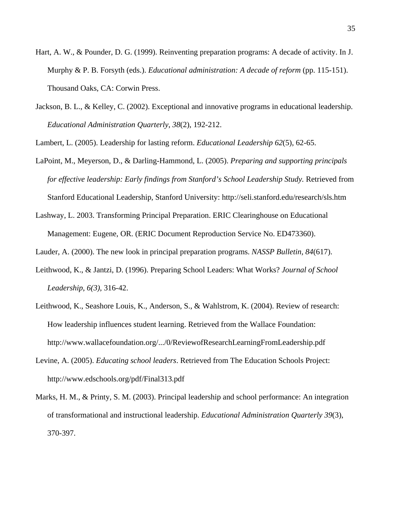- Hart, A. W., & Pounder, D. G. (1999). Reinventing preparation programs: A decade of activity. In J. Murphy & P. B. Forsyth (eds.). *Educational administration: A decade of reform* (pp. 115-151). Thousand Oaks, CA: Corwin Press.
- Jackson, B. L., & Kelley, C. (2002). Exceptional and innovative programs in educational leadership. *Educational Administration Quarterly*, *38*(2), 192-212.

Lambert, L. (2005). Leadership for lasting reform. *Educational Leadership 62*(5), 62-65.

- LaPoint, M., Meyerson, D., & Darling-Hammond, L. (2005). *Preparing and supporting principals for effective leadership: Early findings from Stanford's School Leadership Study.* Retrieved from Stanford Educational Leadership, Stanford University: http://seli.stanford.edu/research/sls.htm
- Lashway, L. 2003. Transforming Principal Preparation. ERIC Clearinghouse on Educational Management: Eugene, OR. (ERIC Document Reproduction Service No. ED473360).

Lauder, A. (2000). The new look in principal preparation programs. *NASSP Bulletin, 84*(617).

- Leithwood, K., & Jantzi, D. (1996). Preparing School Leaders: What Works? *Journal of School Leadership*, *6(3)*, 316-42.
- Leithwood, K., Seashore Louis, K., Anderson, S., & Wahlstrom, K. (2004). Review of research: How leadership influences student learning. Retrieved from the Wallace Foundation: <http://www.wallacefoundation.org/.../0/ReviewofResearchLearningFromLeadership.pdf>
- Levine, A. (2005). *Educating school leaders*. Retrieved from The Education Schools Project: <http://www.edschools.org/pdf/Final313.pdf>
- Marks, H. M., & Printy, S. M. (2003). Principal leadership and school performance: An integration of transformational and instructional leadership. *Educational Administration Quarterly 39*(3), 370-397.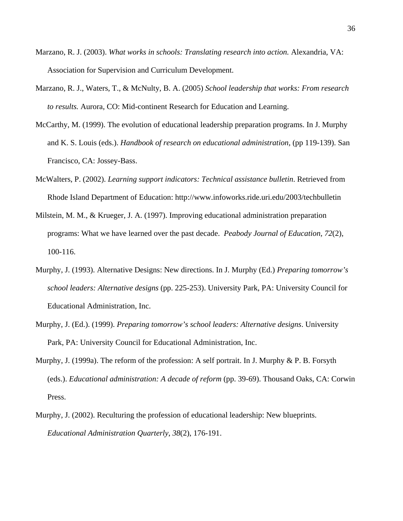- Marzano, R. J. (2003). *What works in schools: Translating research into action.* Alexandria, VA: Association for Supervision and Curriculum Development.
- Marzano, R. J., Waters, T., & McNulty, B. A. (2005) *School leadership that works: From research to results.* Aurora, CO: Mid-continent Research for Education and Learning.
- McCarthy, M. (1999). The evolution of educational leadership preparation programs. In J. Murphy and K. S. Louis (eds.). *Handbook of research on educational administration,* (pp 119-139). San Francisco, CA: Jossey-Bass.
- McWalters, P. (2002). *Learning support indicators: Technical assistance bulletin*. Retrieved from Rhode Island Department of Education:<http://www.infoworks.ride.uri.edu/2003/techbulletin>
- Milstein, M. M., & Krueger, J. A. (1997). Improving educational administration preparation programs: What we have learned over the past decade. *Peabody Journal of Education, 72*(2), 100-116.
- Murphy, J. (1993). Alternative Designs: New directions. In J. Murphy (Ed.) *Preparing tomorrow's school leaders: Alternative designs* (pp. 225-253). University Park, PA: University Council for Educational Administration, Inc.
- Murphy, J. (Ed.). (1999). *Preparing tomorrow's school leaders: Alternative designs*. University Park, PA: University Council for Educational Administration, Inc.
- Murphy, J. (1999a). The reform of the profession: A self portrait. In J. Murphy & P. B. Forsyth (eds.). *Educational administration: A decade of reform* (pp. 39-69). Thousand Oaks, CA: Corwin Press.
- Murphy, J. (2002). Reculturing the profession of educational leadership: New blueprints. *Educational Administration Quarterly*, *38*(2), 176-191.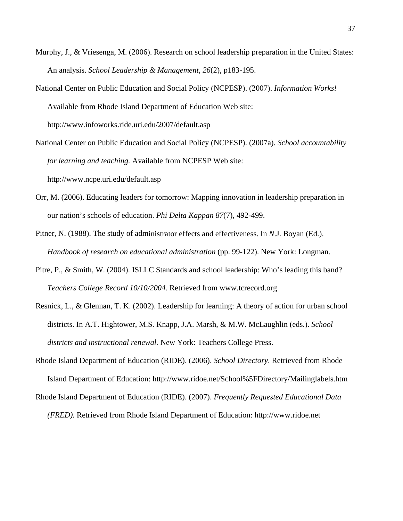- Murphy, J., & Vriesenga, M. (2006). Research on school leadership preparation in the United States: An analysis. *School Leadership & Management*, *26*(2), p183-195.
- National Center on Public Education and Social Policy (NCPESP). (2007). *Information Works!*  Available from Rhode Island Department of Education Web site: <http://www.infoworks.ride.uri.edu/2007/default.asp>
- National Center on Public Education and Social Policy (NCPESP). (2007a)*. School accountability for learning and teaching.* Available from NCPESP Web site:

<http://www.ncpe.uri.edu/default.asp>

- Orr, M. (2006). Educating leaders for tomorrow: Mapping innovation in leadership preparation in our nation's schools of education. *Phi Delta Kappan 87*(7), 492-499.
- Pitner, N. (1988). The study of administrator effects and effectiveness. In *N*.J. Boyan (Ed.). *Handbook of research on educational administration* (pp. 99-122). New York: Longman.
- Pitre, P., & Smith, W. (2004). ISLLC Standards and school leadership: Who's leading this band? *Teachers College Record 10/10/2004.* Retrieved from [www.tcrecord.org](http://www.tcrecord.org/)
- Resnick, L., & Glennan, T. K. (2002). Leadership for learning: A theory of action for urban school districts. In A.T. Hightower, M.S. Knapp, J.A. Marsh, & M.W. McLaughlin (eds.). *School districts and instructional renewal.* New York: Teachers College Press.
- Rhode Island Department of Education (RIDE). (2006). *School Directory*. Retrieved from Rhode Island Department of Education: [http://www.ridoe.net/School%5FDirectory/Mailinglabels.htm](http://www.ridoe.net/School_Directory/Mailinglabels.htm)
- Rhode Island Department of Education (RIDE). (2007). *Frequently Requested Educational Data* 
	- *(FRED).* Retrieved from Rhode Island Department of Education: [http://www.ridoe.net](http://www.ridoe.net/School_Directory/Mailinglabels.htm)